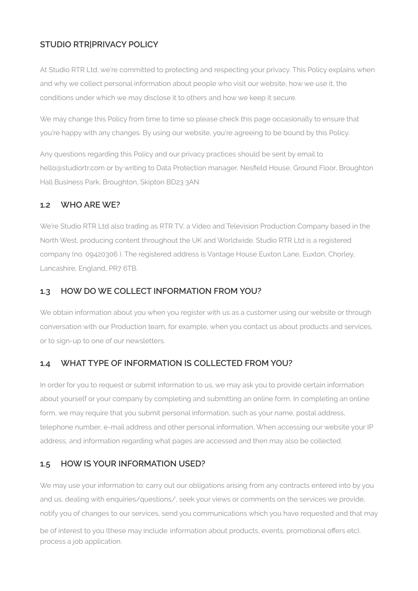# **STUDIO RTR|PRIVACY POLICY**

At Studio RTR Ltd, we're committed to protecting and respecting your privacy. This Policy explains when and why we collect personal information about people who visit our website, how we use it, the conditions under which we may disclose it to others and how we keep it secure.

We may change this Policy from time to time so please check this page occasionally to ensure that you're happy with any changes. By using our website, you're agreeing to be bound by this Policy.

Any questions regarding this Policy and our privacy practices should be sent by email to hello@studiortr.com or by writing to Data Protection manager, Nesfield House, Ground Floor, Broughton Hall Business Park, Broughton, Skipton BD23 3AN

## **1.2 WHO ARE WE?**

We're Studio RTR Ltd also trading as RTR TV, a Video and Television Production Company based in the North West, producing content throughout the UK and Worldwide. Studio RTR Ltd is a registered company (no. 09420306 ). The registered address is Vantage House Euxton Lane, Euxton, Chorley, Lancashire, England, PR7 6TB.

## **1.3 HOW DO WE COLLECT INFORMATION FROM YOU?**

We obtain information about you when you register with us as a customer using our website or through conversation with our Production team, for example, when you contact us about products and services, or to sign-up to one of our newsletters.

## **1.4 WHAT TYPE OF INFORMATION IS COLLECTED FROM YOU?**

In order for you to request or submit information to us, we may ask you to provide certain information about yourself or your company by completing and submitting an online form. In completing an online form, we may require that you submit personal information, such as your name, postal address, telephone number, e-mail address and other personal information, When accessing our website your IP address, and information regarding what pages are accessed and then may also be collected.

## **1.5 HOW IS YOUR INFORMATION USED?**

We may use your information to: carry out our obligations arising from any contracts entered into by you and us, dealing with enquiries/questions/, seek your views or comments on the services we provide, notify you of changes to our services, send you communications which you have requested and that may

be of interest to you (these may include information about products, events, promotional offers etc), process a job application.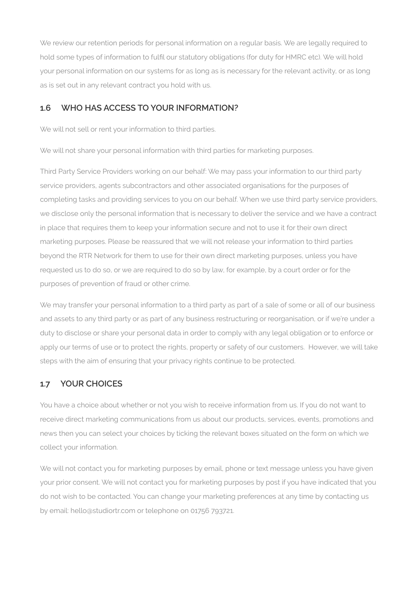We review our retention periods for personal information on a regular basis. We are legally required to hold some types of information to fulfil our statutory obligations (for duty for HMRC etc). We will hold your personal information on our systems for as long as is necessary for the relevant activity, or as long as is set out in any relevant contract you hold with us.

## **1.6 WHO HAS ACCESS TO YOUR INFORMATION?**

We will not sell or rent your information to third parties.

We will not share your personal information with third parties for marketing purposes.

Third Party Service Providers working on our behalf: We may pass your information to our third party service providers, agents subcontractors and other associated organisations for the purposes of completing tasks and providing services to you on our behalf. When we use third party service providers, we disclose only the personal information that is necessary to deliver the service and we have a contract in place that requires them to keep your information secure and not to use it for their own direct marketing purposes. Please be reassured that we will not release your information to third parties beyond the RTR Network for them to use for their own direct marketing purposes, unless you have requested us to do so, or we are required to do so by law, for example, by a court order or for the purposes of prevention of fraud or other crime.

We may transfer your personal information to a third party as part of a sale of some or all of our business and assets to any third party or as part of any business restructuring or reorganisation, or if we're under a duty to disclose or share your personal data in order to comply with any legal obligation or to enforce or apply our terms of use or to protect the rights, property or safety of our customers. However, we will take steps with the aim of ensuring that your privacy rights continue to be protected.

## **1.7 YOUR CHOICES**

You have a choice about whether or not you wish to receive information from us. If you do not want to receive direct marketing communications from us about our products, services, events, promotions and news then you can select your choices by ticking the relevant boxes situated on the form on which we collect your information.

We will not contact you for marketing purposes by email, phone or text message unless you have given your prior consent. We will not contact you for marketing purposes by post if you have indicated that you do not wish to be contacted. You can change your marketing preferences at any time by contacting us by email: hello@studiortr.com or telephone on 01756 793721.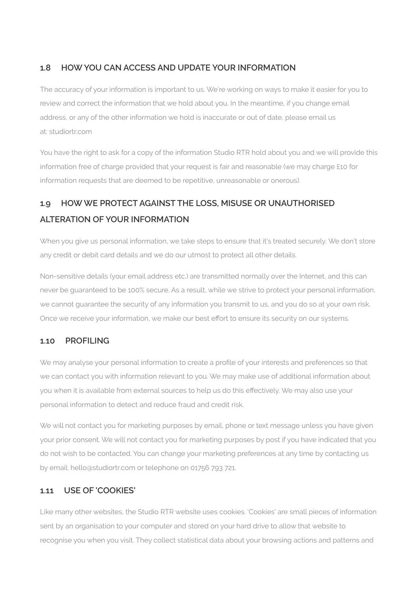## **1.8 HOW YOU CAN ACCESS AND UPDATE YOUR INFORMATION**

The accuracy of your information is important to us. We're working on ways to make it easier for you to review and correct the information that we hold about you. In the meantime, if you change email address, or any of the other information we hold is inaccurate or out of date, please email us at: studiortr.com

You have the right to ask for a copy of the information Studio RTR hold about you and we will provide this information free of charge provided that your request is fair and reasonable (we may charge £10 for information requests that are deemed to be repetitive, unreasonable or onerous).

# **1.9 HOW WE PROTECT AGAINST THE LOSS, MISUSE OR UNAUTHORISED ALTERATION OF YOUR INFORMATION**

When you give us personal information, we take steps to ensure that it's treated securely. We don't store any credit or debit card details and we do our utmost to protect all other details.

Non-sensitive details (your email address etc.) are transmitted normally over the Internet, and this can never be guaranteed to be 100% secure. As a result, while we strive to protect your personal information, we cannot guarantee the security of any information you transmit to us, and you do so at your own risk. Once we receive your information, we make our best effort to ensure its security on our systems.

### **1.10 PROFILING**

We may analyse your personal information to create a profile of your interests and preferences so that we can contact you with information relevant to you. We may make use of additional information about you when it is available from external sources to help us do this effectively. We may also use your personal information to detect and reduce fraud and credit risk.

We will not contact you for marketing purposes by email, phone or text message unless you have given your prior consent. We will not contact you for marketing purposes by post if you have indicated that you do not wish to be contacted. You can change your marketing preferences at any time by contacting us by email: hello@studiortr.com or telephone on 01756 793 721.

## **1.11 USE OF 'COOKIES'**

Like many other websites, the Studio RTR website uses cookies. 'Cookies' are small pieces of information sent by an organisation to your computer and stored on your hard drive to allow that website to recognise you when you visit. They collect statistical data about your browsing actions and patterns and